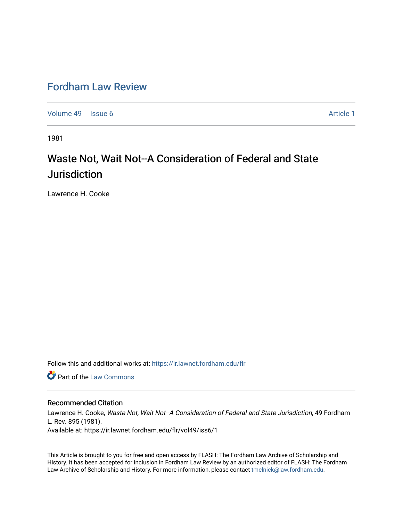## [Fordham Law Review](https://ir.lawnet.fordham.edu/flr)

[Volume 49](https://ir.lawnet.fordham.edu/flr/vol49) | [Issue 6](https://ir.lawnet.fordham.edu/flr/vol49/iss6) Article 1

1981

# Waste Not, Wait Not--A Consideration of Federal and State Jurisdiction

Lawrence H. Cooke

Follow this and additional works at: [https://ir.lawnet.fordham.edu/flr](https://ir.lawnet.fordham.edu/flr?utm_source=ir.lawnet.fordham.edu%2Fflr%2Fvol49%2Fiss6%2F1&utm_medium=PDF&utm_campaign=PDFCoverPages)

**C** Part of the [Law Commons](http://network.bepress.com/hgg/discipline/578?utm_source=ir.lawnet.fordham.edu%2Fflr%2Fvol49%2Fiss6%2F1&utm_medium=PDF&utm_campaign=PDFCoverPages)

#### Recommended Citation

Lawrence H. Cooke, Waste Not, Wait Not--A Consideration of Federal and State Jurisdiction, 49 Fordham L. Rev. 895 (1981). Available at: https://ir.lawnet.fordham.edu/flr/vol49/iss6/1

This Article is brought to you for free and open access by FLASH: The Fordham Law Archive of Scholarship and History. It has been accepted for inclusion in Fordham Law Review by an authorized editor of FLASH: The Fordham Law Archive of Scholarship and History. For more information, please contact [tmelnick@law.fordham.edu](mailto:tmelnick@law.fordham.edu).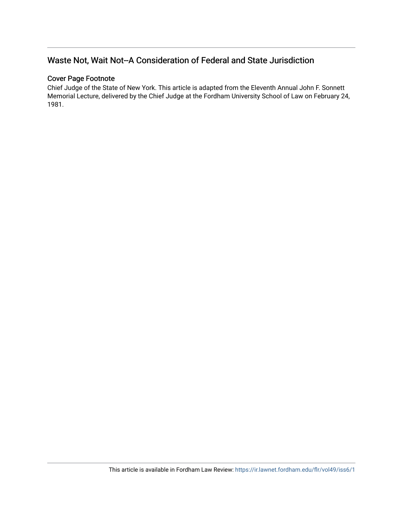### Waste Not, Wait Not--A Consideration of Federal and State Jurisdiction

### Cover Page Footnote

Chief Judge of the State of New York. This article is adapted from the Eleventh Annual John F. Sonnett Memorial Lecture, delivered by the Chief Judge at the Fordham University School of Law on February 24, 1981.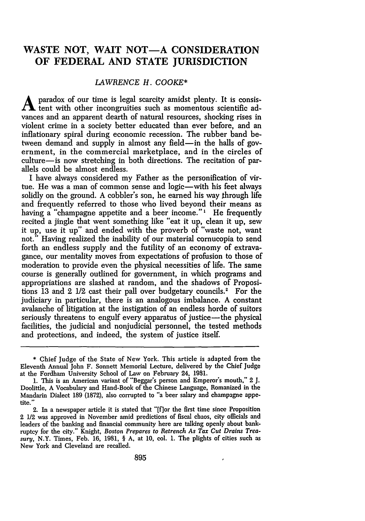### WASTE NOT, WAIT NOT-A CONSIDERATION **OF FEDERAL AND STATE JURISDICTION**

#### *LAWRENCE H. COOKE\**

paradox of our time is legal scarcity amidst plenty. It is consistent with other incongruities such as momentous scientific advances and an apparent dearth of natural resources, shocking rises in violent crime in a society better educated than ever before, and an inflationary spiral during economic recession. The rubber band between demand and supply in almost any field—in the halls of government, in the commercial marketplace, and in the circles of culture-is now stretching in both directions. The recitation of parallels could be almost endless.

I have always considered my Father as the personification of virtue. He was a man of common sense and logic—with his feet always solidly on the ground. A cobbler's son, he earned his way through life and frequently referred to those who lived beyond their means as having a "champagne appetite and a beer income."<sup>1</sup> He frequently recited a jingle that went something like "eat it up, clean it up, sew it up, use it up" and ended with the proverb of "waste not, want not." Having realized the inability of our material cornucopia to send forth an endless supply and the futility of an economy of extravagance, our mentality moves from expectations of profusion to those of moderation to provide even the physical necessities of life. The same course is generally outlined for government, in which programs and appropriations are slashed at random, and the shadows of Propositions 13 and 2  $1/2$  cast their pall over budgetary councils.<sup>2</sup> For the judiciary in particular, there is an analogous imbalance. A constant avalanche of litigation at the instigation of an endless horde of suitors seriously threatens to engulf every apparatus of justice—the physical facilities, the judicial and nonjudicial personnel, the tested methods and protections, and indeed, the system of justice itself.

<sup>\*</sup> Chief Judge of the State of New York. This article is adapted from the Eleventh Annual John F. Sonnett Memorial Lecture, delivered **by** the Chief Judge at the Fordham University School of Law on February 24, 1981.

**<sup>1.</sup>** This is an American variant of "Beggar's person and Emperor's mouth," 2 **J.** Doolittle, A Vocabulary and Hand-Book of the Chinese Language, Romanized in the Mandarin Dialect 189 (1872), also corrupted to "a beer salary and champagne appetite."

<sup>2.</sup> In a newspaper article it is stated that "[f]or the first time since Proposition 2 1/2 was approved in November amid predictions of fiscal chaos, city officials and leaders of the banking and financial community here are talking openly about bankruptcy for the city." Knight, *Boston Prepares to Retrench As Tax Cut Drains Treasury,* N.Y. Times, Feb. 16, 1981, § A, at 10, col. **1.** The plights of cities such as New York and Cleveland are recalled.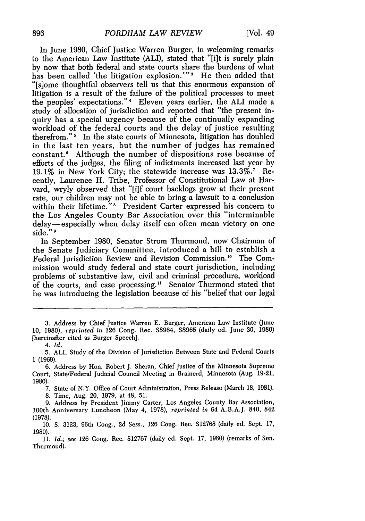In June 1980, Chief Justice Warren Burger, in welcoming remarks to the American Law Institute (ALI), stated that "[i]t is surely plain by now that both federal and state courts share the burdens of what has been called 'the litigation explosion.'"<sup>3</sup> He then added that "[s]ome thoughtful observers tell us that this enormous expansion of litigation is a result of the failure of the political processes to meet the peoples' expectations."' Eleven years earlier, the ALI made a study of allocation of jurisdiction and reported that "the present inquiry has a special urgency because of the continually expanding workload of the federal courts and the delay of justice resulting therefrom."' In the state courts of Minnesota, litigation has doubled in the last ten years, but the number of judges has remained constant.6 Although the number of dispositions rose because of efforts of the judges, the filing of indictments increased last year by 19.1% in New York City; the statewide increase was 13.3%.<sup>7</sup> Recently, Laurence H. Tribe, Professor of Constitutional Law at Harvard, wryly observed that "[i]f court backlogs grow at their present rate, our children may not be able to bring a lawsuit to a conclusion within their lifetime."8 President Carter expressed his concern to the Los Angeles County Bar Association over this "interminable delay— especially when delay itself can often mean victory on one side." <sup>9</sup>

In September 1980, Senator Strom Thurmond, now Chairman of the Senate Judiciary Committee, introduced a bill to establish a Federal Jurisdiction Review and Revision Commission."0 The Commission would study federal and state court jurisdiction, including problems of substantive law, civil and criminal procedure, workload of the courts, and case processing." Senator Thurmond stated that he was introducing the legislation because of his "belief that our legal

6. Address by Hon. Robert J. Sheran, Chief Justice of the Minnesota Supreme Court, State/Federal Judicial Council Meeting in Brainerd, Minnesota (Aug. 19-21, 1980).

7. State of N.Y. Office of Court Administration, Press Release (March 18, 1981). 8. Time, Aug. 20, 1979, at 48, 51.

9. Address by President Jimmy Carter, Los Angeles County Bar Association, 100th Anniversary Luncheon (May 4, 1978), *reprinted in* 64 A.B.A.J. 840, 842 (1978).

**10. S.** 3123, 96th Cong., 2d Sess., 126 Cong. Rec. S12768 (daily **ed.** Scpt. 17, 1980).

**Ii.** *Id.; see* 126 Cong. Rec. S12767 (daily ed. Sept. 17, 1980) (remarks of Sen. Thurmond).

<sup>3.</sup> Address by Chief Justice Warren E. Burger, American Law Institute (June 10, 1980), *reprinted* in 126 Cong. Rec. S8964, S8965 (daily ed. June 30, 1980) [hereinafter cited as Burger Speech].

<sup>4.</sup> *Id.*

<sup>5.</sup> ALI, Study of the Division of Jurisdiction Between State and Federal Courts 1 (1969).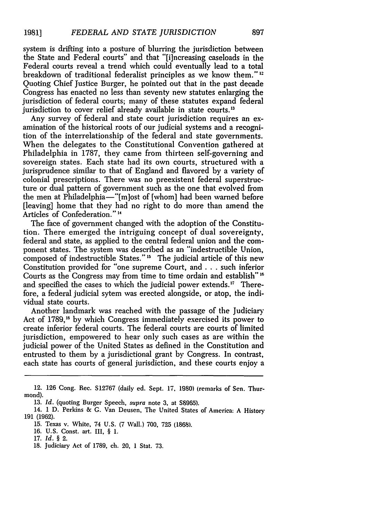system is drifting into a posture of blurring the jurisdiction between the State and Federal courts" and that "[i]ncreasing caseloads in the Federal courts reveal a trend which could eventually lead to a total breakdown of traditional federalist principles as we know them."<sup>12</sup> Quoting Chief Justice Burger, he pointed out that in the past decade Congress has enacted no less than seventy new statutes enlarging the jurisdiction of federal courts; many of these statutes expand federal jurisdiction to cover relief already available in state courts.<sup>13</sup>

Any survey of federal and state court jurisdiction requires an examination of the historical roots of our judicial systems and a recognition of the interrelationship of the federal and state governments. When the delegates to the Constitutional Convention gathered at Philadelphia in 1787, they came from thirteen self-governing and sovereign states. Each state had its own courts, structured with a jurisprudence similar to that of England and flavored by a variety of colonial prescriptions. There was no preexistent federal superstructure or dual pattern of government such as the one that evolved from the men at Philadelphia-"[m]ost of [whom] had been warned before [leaving] home that they had no right to do more than amend the Articles of Confederation." <sup>14</sup>

The face of government changed with the adoption of the Constitution. There emerged the intriguing concept of dual sovereignty, federal and state, as applied to the central federal union and the component states. The system was described as an "indestructible Union, composed of indestructible States."<sup>15</sup> The judicial article of this new Constitution provided for "one supreme Court, and **...** such inferior Courts as the Congress may from time to time ordain and establish" **16** and specified the cases to which the judicial power extends." Therefore, a federal judicial sytem was erected alongside, or atop, the individual state courts.

Another landmark was reached with the passage of the Judiciary Act of 1789,<sup>18</sup> by which Congress immediately exercised its power to create inferior federal courts. The federal courts are courts of limited jurisdiction, empowered to hear only such cases as are within the judicial power of the United States as defined in the Constitution and entrusted to them by a jurisdictional grant by Congress. In contrast, each state has courts of general jurisdiction, and these courts enjoy a

<sup>12. 126</sup> Cong. Rec. S12767 (daily ed. Sept. 17, 1980) (remarks of Sen. Thurmond).

<sup>13.</sup> *Id.* (quoting Burger Speech, supra note **3.** at S8965).

<sup>14. 1</sup> D. Perkins & **G.** Van Deusen, The United States of America: A History 191 (1962).

<sup>15.</sup> Texas v. White, 74 U.S. (7 Wall.) 700, 725 (1868).

<sup>16.</sup> U.S. Const. art. III, § I.

<sup>17.</sup> *Id. §* 2.

<sup>18.</sup> Judiciary Act of 1789, ch. 20, **1** Stat. 73.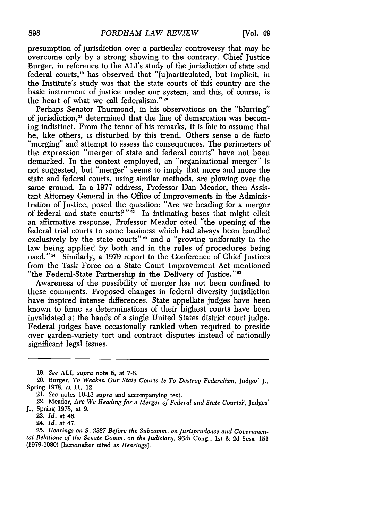presumption of jurisdiction over a particular controversy that may be overcome only by a strong showing to the contrary. Chief Justice Burger, in reference to the ALI's study of the jurisdiction of state and federal courts,<sup>19</sup> has observed that "[u]narticulated, but implicit, in the Institute's study was that the state courts of this country are the basic instrument of justice under our system, and this, of course, is the heart of what we call federalism."20

Perhaps Senator Thurmond, in his observations on the "blurring" of jurisdiction,<sup>21</sup> determined that the line of demarcation was becoming indistinct. From the tenor of his remarks, it is fair to assume that he, like others, is disturbed by this trend. Others sense a de facto "merging" and attempt to assess the consequences. The perimeters of the expression "merger of state and federal courts" have not been demarked. In the context employed, an "organizational merger" is not suggested, but "merger" seems to imply that more and more the state and federal courts, using similar methods, are plowing over the same ground. In a 1977 address, Professor Dan Meador, then Assistant Attorney General in the Office of Improvements in the Administration of Justice, posed the question: "Are we heading for a merger of federal and state courts?"<sup>22</sup> In intimating bases that might elicit an affirmative response, Professor Meador cited "the opening of the federal trial courts to some business which had always been handled exclusively by the state courts"<sup>23</sup> and a "growing uniformity in the law being applied by both and in the rules of procedures being used."<sup>24</sup> Similarly, a 1979 report to the Conference of Chief Justices from the Task Force on a State Court Improvement Act mentioned "the Federal-State Partnership in the Delivery of Justice."<sup>23</sup>

Awareness of the possibility of merger has not been confined to these comments. Proposed changes in federal diversity jurisdiction have inspired intense differences. State appellate judges have been known to fume as determinations of their highest courts have been invalidated at the hands of a single United States district court judge. Federal judges have occasionally rankled when required to preside over garden-variety tort and contract disputes instead of nationally significant legal issues.

**<sup>19.</sup>** *See* ALI, *supra* note 5, at 7-8.

<sup>20.</sup> Burger, *To Weaken Our State Courts Is To Destroy Federalism,* Judges' J., Spring **1978,** at **11,** 12.

<sup>21.</sup> *See* notes 10-13 *supra* and accompanying text.

<sup>22.</sup> Meador, *Are We Heading for a Merger of Federal and State Courts?,* Judges' **J.,** Spring **1978,** at **9.**

**<sup>23.</sup>** *Id.* at 46.

<sup>24.</sup> *Id.* at 47.

*<sup>25.</sup> Hearings on S. 2387 Before the Subcomm. on Jurisprudence and Governmental Relations of the Senate Comm. on the Judiciary,* 96th Cong., 1st **& 2d** *Sess.* **151** (1979-1980) [hereinafter cited as *Hearings].*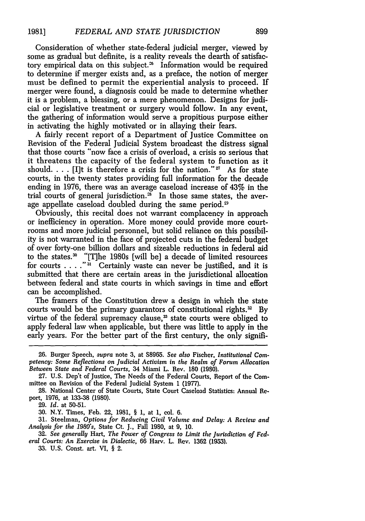Consideration of whether state-federal judicial merger, viewed by some as gradual but definite, is a reality reveals the dearth of satisfactory empirical data on this subject.<sup> $\infty$ </sup> Information would be required to determine if merger exists and, as a preface, the notion of merger must be defined to permit the experiential analysis to proceed. If merger were found, a diagnosis could be made to determine whether it is a problem, a blessing, or a mere phenomenon. Designs for judicial or legislative treatment or surgery would follow. In any event, the gathering of information would serve a propitious purpose either in activating the highly motivated or in allaying their fears.

A fairly recent report of a Department of Justice Committee on Revision of the Federal Judicial System broadcast the distress signal that those courts "now face a crisis of overload, a crisis so serious that it threatens the capacity of the federal system to function as it should.  $\ldots$  [I]t is therefore a crisis for the nation."<sup>27</sup> As for state courts, in the twenty states providing full information for the decade ending in 1976, there was an average caseload increase of 43% in the trial courts of general jurisdiction. $\frac{3}{5}$  In those same states, the average appellate caseload doubled during the same period.<sup>29</sup>

Obviously, this recital does not warrant complacency in approach or inefficiency in operation. More money could provide more courtrooms and more judicial personnel, but solid reliance on this possibility is not warranted in the face of projected cuts in the federal budget of over forty-one billion dollars and sizeable reductions in federal aid to the states.<sup>30</sup> "[T]he 1980s [will be] a decade of limited resources for courts . . . . "<sup>31</sup> Certainly waste can never be justified, and it is submitted that there are certain areas in the jurisdictional allocation between federal and state courts in which savings in time and effort can be accomplished.

The framers of the Constitution drew a design in which the state courts would be the primary guarantors of constitutional rights.<sup>32</sup> By virtue of the federal supremacy clause, $<sup>33</sup>$  state courts were obliged to</sup> apply federal law when applicable, but there was little to apply in the early years. For the better part of the first century, the only signifi-

**26.** Burger Speech, supra note 3, at S8965. *See also* Fischer, *Institutional Competency: Some Reflections on Judicial Activism in the Realm of Forum Allocation Between State and Federal Courts,* 34 Miami L. Rev. 180 (1980).

27. U.S. Dep't of Justice, The Needs of the Federal Courts, Report of the Committee on Revision of the Federal Judicial System 1 **(1977).**

28. National Center of State Courts, State Court Caseload Statistics: Annual Report, 1976, at 133-38 (1980).

29. *Id.* at 50-51.

30. N.Y. Times, Feb. 22, 1981, § 1, at 1, col. 6.

31. Steelman, *Options for Reducing Civil Volume and Delay: A Review and Analysis for the 1980's,* State Ct. J., Fall 1980, at 9, 10.

32. *See generally* Hart, *The Power of Congress to Limit the Jurisdiction of Federal Courts: An Exercise in Dialectic,* 66 Harv. L. Rev. 1362 (1953).

33. U.S. Const. art. VI, § 2.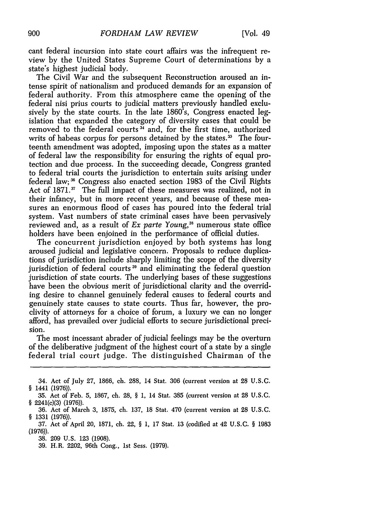cant federal incursion into state court affairs was the infrequent review by the United States Supreme Court of determinations by a state's highest judicial body.

The Civil War and the subsequent Reconstruction aroused an intense spirit of nationalism and produced demands for an expansion of federal authority. From this atmosphere came the opening of the federal nisi prius courts to judicial matters previously handled exclusively by the state courts. In the late 1860's, Congress enacted legislation that expanded the category of diversity cases that could be removed to the federal courts **3** and, for the first time, authorized writs of habeas corpus for persons detained by the states.<sup>35</sup> The fourteenth amendment was adopted, imposing upon the states as a matter of federal law the responsibility for ensuring the rights of equal protection and due process. In the succeeding decade, Congress granted to federal trial courts the jurisdiction to entertain suits arising under federal law;<sup>36</sup> Congress also enacted section 1983 of the Civil Rights Act of 1871.<sup>37</sup> The full impact of these measures was realized, not in their infancy, but in more recent years, and because of these measures an enormous flood of cases has poured into the federal trial system. Vast numbers of state criminal cases have been pervasively reviewed and, as a result of *Ex parte Young*,<sup>33</sup> numerous state office holders have been enjoined in the performance of official duties.

The concurrent jurisdiction enjoyed by both systems has long aroused judicial and legislative concern. Proposals to reduce duplications of jurisdiction include sharply limiting the scope of the diversity jurisdiction of federal courts<sup>39</sup> and eliminating the federal question jurisdiction of state courts. The underlying bases of these suggestions have been the obvious merit of jurisdictional clarity and the overriding desire to channel genuinely federal causes to federal courts and genuinely state causes to state courts. Thus far, however, the proclivity of attorneys for a choice of forum, a luxury we can no longer afford, has prevailed over judicial efforts to secure jurisdictional precision.

The most incessant abrader of judicial feelings may be the overturn of the deliberative judgment of the highest court of a state by a single federal trial court judge. The distinguished Chairman of the

<sup>34.</sup> Act of July 27, 1866, ch. 288, 14 Stat. 306 (current version at 28 U.S.C. § 1441 (1976)).

<sup>35.</sup> Act of Feb. 5, 1867, ch. 28, § 1, 14 Stat. 385 (current version at 28 U.S.C. § 2241(c)(3) (1976)).

<sup>36.</sup> Act of March 3, 1875, ch. 137, 18 Stat. 470 (current version at 28 U.S.C. § 1331 (1976)).

<sup>37.</sup> Act of April 20, 1871, ch. 22, § 1, 17 Stat. 13 (codified at 42 U.S.C. § 1983 (1976)).

<sup>38. 209</sup> U.S. 123 (1908).

<sup>39.</sup> H.R. 2202, 96th Cong., 1st Sess. (1979).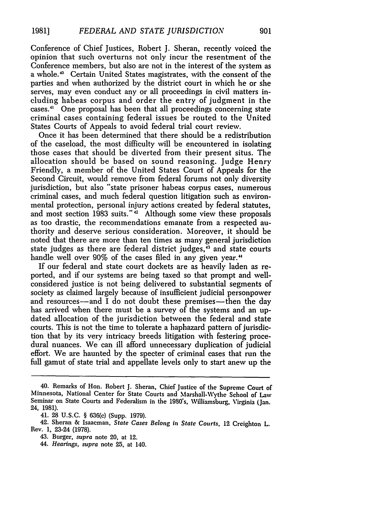Conference of Chief Justices, Robert **J.** Sheran, recently voiced the opinion that such overturns not only incur the resentment of the Conference members, but also are not in the interest of the system as a whole.<sup>40</sup> Certain United States magistrates, with the consent of the parties and when authorized by the district court in which he or she serves, may even conduct any or all proceedings in civil matters including habeas corpus and order the entry of judgment in the cases.<sup>41</sup> One proposal has been that all proceedings concerning state criminal cases containing federal issues be routed to the United States Courts of Appeals to avoid federal trial court review.

Once it has been determined that there should be a redistribution of the caseload, the most difficulty will be encountered in isolating those cases that should be diverted from their present situs. The allocation should be based on sound reasoning. Judge Henry Friendly, a member of the United States Court of Appeals for the Second Circuit, would remove from federal forums not only diversity jurisdiction, but also "state prisoner habeas corpus cases, numerous criminal cases, and much federal question litigation such as environmental protection, personal injury actions created by federal statutes, and most section 1983 suits." $\frac{1}{4}$  Although some view these proposals as too drastic, the recommendations emanate from a respected authority and deserve serious consideration. Moreover, it should be noted that there are more than ten times as many general jurisdiction state judges as there are federal district judges,<sup>43</sup> and state courts handle well over 90% of the cases filed in any given year.<sup>44</sup>

If our federal and state court dockets are as heavily laden as reported, and if our systems are being taxed so that prompt and wellconsidered justice is not being delivered to substantial segments of society as claimed largely because of insufficient judicial personpower and resources—and I do not doubt these premises—then the day has arrived when there must be a survey of the systems and an updated allocation of the jurisdiction between the federal and state courts. This is not the time to tolerate a haphazard pattern of jurisdiction that by its very intricacy breeds litigation with festering procedural nuances. We can ill afford unnecessary duplication of judicial effort. We are haunted by the specter of criminal cases that run the full gamut of state trial and appellate levels only to start anew up the

<sup>40.</sup> Remarks of Hon. Robert J. Sheran, Chief Justice of the Supreme Court of Minnesota, National Center for State Courts and Marshall-Wythe School of Law Seminar on State Courts and Federalism in the 1980's, Williamsburg, Virginia (Jan. 24, 1981).

<sup>41. 28</sup> U.S.C. § 636(c) (Supp. 1979).

<sup>42.</sup> Sheran & Isaacman, *State Cases Belong in State Courts,* 12 Creighton L. Rev. 1, 23-24 (1978).

<sup>43.</sup> Burger, *supra* note 20, at 12.

<sup>44.</sup> *Hearings, supra* note 25, at 140.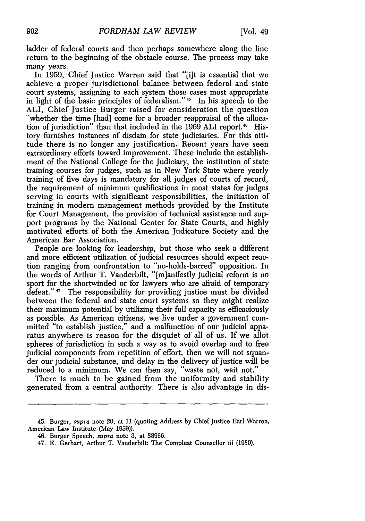ladder of federal courts and then perhaps somewhere along the line return to the beginning of the obstacle course. The process may take many years.

In 1959, Chief Justice Warren said that "[i]t is essential that we achieve a proper jurisdictional balance between federal and state court systems, assigning to each system those cases most appropriate in light of the basic principles of federalism."<sup>45</sup> In his speech to the ALI, Chief Justice Burger raised for consideration the question "whether the time [had] come for a broader reappraisal of the allocation of jurisdiction" than that included in the 1969 ALI report.<sup>46</sup> History furnishes instances of disdain for state judiciaries. For this attitude there is no longer any justification. Recent years have seen extraordinary efforts toward improvement. These include the establishment of the National College for the Judiciary, the institution of state training courses for judges, such as in New York State where yearly training of five days is mandatory for all judges of courts of record, the requirement of minimum qualifications in most states for judges serving in courts with significant responsibilities, the initiation of training in modern management methods provided by the Institute for Court Management, the provision of technical assistance and support programs by the National Center for State Courts, and highly motivated efforts of both the American Judicature Society and the American Bar Association.

People are looking for leadership, but those who seek a different and more efficient utilization of judicial resources should expect reaction ranging from confrontation to "no-holds-barred" opposition. In the words of Arthur T. Vanderbilt, "[m]anifestly judicial reform is no sport for the shortwinded or for lawyers who are afraid of temporary defeat."<sup>47</sup> The responsibility for providing justice must be divided between the federal and state court systems so they might realize their maximum potential by utilizing their full capacity as efficaciously as possible. As American citizens, we live under a government committed "to establish justice," and a malfunction of our judicial apparatus anywhere is reason for the disquiet of all of us. If we allot spheres of jurisdiction in such a way as to avoid overlap and to free judicial components from repetition of effort, then we will not squander our judicial substance, and delay in the delivery of justice will be reduced to a minimum. We can then say, "waste not, wait not."

There is much to be gained from the uniformity and stability generated from a central authority. There is also advantage in dis-

<sup>45.</sup> Burger, supra note 20, at 11 (quoting Address by Chief Justice Earl Warren, American Law Institute (May 1959)).

<sup>46.</sup> Burger Speech, supra note 3, at S8966.

<sup>47.</sup> E. Gerhart, Arthur T. Vanderbilt: The Compleat Counsellor iii (1980).